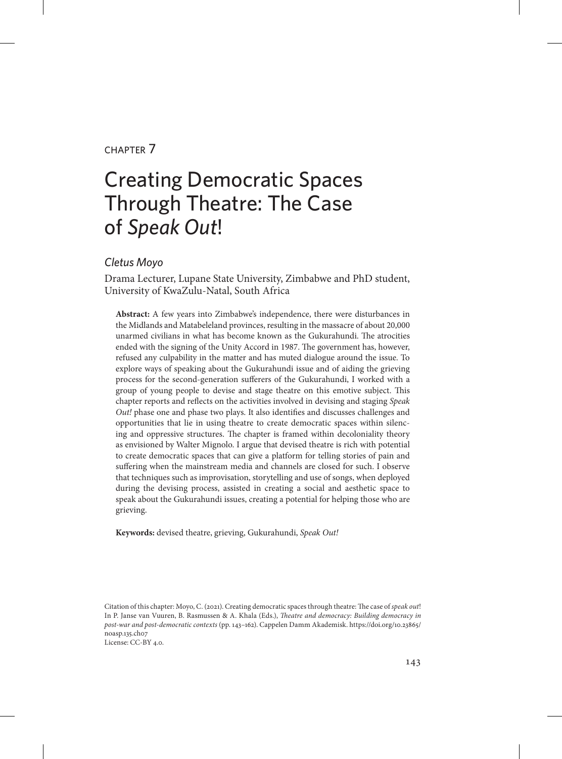#### chapter 7

# Creating Democratic Spaces Through Theatre: The Case of *Speak Out*!

#### *Cletus Moyo*

Drama Lecturer, Lupane State University, Zimbabwe and PhD student, University of KwaZulu-Natal, South Africa

**Abstract:** A few years into Zimbabwe's independence, there were disturbances in the Midlands and Matabeleland provinces, resulting in the massacre of about 20,000 unarmed civilians in what has become known as the Gukurahundi. The atrocities ended with the signing of the Unity Accord in 1987. The government has, however, refused any culpability in the matter and has muted dialogue around the issue. To explore ways of speaking about the Gukurahundi issue and of aiding the grieving process for the second-generation sufferers of the Gukurahundi, I worked with a group of young people to devise and stage theatre on this emotive subject. This chapter reports and reflects on the activities involved in devising and staging *Speak Out!* phase one and phase two plays. It also identifies and discusses challenges and opportunities that lie in using theatre to create democratic spaces within silencing and oppressive structures. The chapter is framed within decoloniality theory as envisioned by Walter Mignolo. I argue that devised theatre is rich with potential to create democratic spaces that can give a platform for telling stories of pain and suffering when the mainstream media and channels are closed for such. I observe that techniques such as improvisation, storytelling and use of songs, when deployed during the devising process, assisted in creating a social and aesthetic space to speak about the Gukurahundi issues, creating a potential for helping those who are grieving.

**Keywords:** devised theatre, grieving, Gukurahundi, *Speak Out!*

Citation of this chapter: Moyo, C. (2021). Creating democratic spaces through theatre: The case of *speak out*! In P. Janse van Vuuren, B. Rasmussen & A. Khala (Eds.), *Theatre and democracy: Building democracy in post-war and post-democratic contexts* (pp. 143–162). Cappelen Damm Akademisk. [https://doi.org/10.23865/](https://doi.org/10.23865/noasp.135.ch07) [noasp.135.ch07](https://doi.org/10.23865/noasp.135.ch07) License: CC-BY 4.0.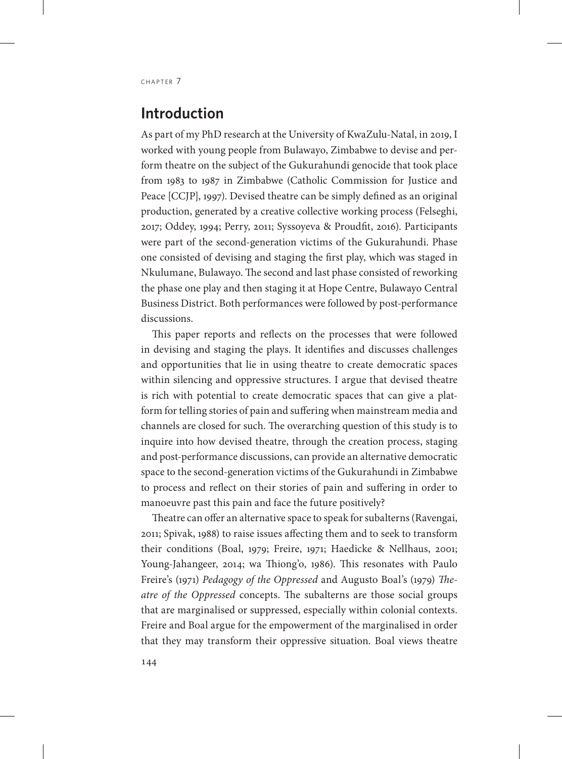### **Introduction**

As part of my PhD research at the University of KwaZulu-Natal, in 2019, I worked with young people from Bulawayo, Zimbabwe to devise and perform theatre on the subject of the Gukurahundi genocide that took place from 1983 to 1987 in Zimbabwe (Catholic Commission for Justice and Peace [CCJP], 1997). Devised theatre can be simply defined as an original production, generated by a creative collective working process (Felseghi, 2017; Oddey, 1994; Perry, 2011; Syssoyeva & Proudfit, 2016). Participants were part of the second-generation victims of the Gukurahundi. Phase one consisted of devising and staging the first play, which was staged in Nkulumane, Bulawayo. The second and last phase consisted of reworking the phase one play and then staging it at Hope Centre, Bulawayo Central Business District. Both performances were followed by post-performance discussions.

This paper reports and reflects on the processes that were followed in devising and staging the plays. It identifies and discusses challenges and opportunities that lie in using theatre to create democratic spaces within silencing and oppressive structures. I argue that devised theatre is rich with potential to create democratic spaces that can give a platform for telling stories of pain and suffering when mainstream media and channels are closed for such. The overarching question of this study is to inquire into how devised theatre, through the creation process, staging and post-performance discussions, can provide an alternative democratic space to the second-generation victims of the Gukurahundi in Zimbabwe to process and reflect on their stories of pain and suffering in order to manoeuvre past this pain and face the future positively?

Theatre can offer an alternative space to speak for subalterns (Ravengai, 2011; Spivak, 1988) to raise issues affecting them and to seek to transform their conditions (Boal, 1979; Freire, 1971; Haedicke & Nellhaus, 2001; Young-Jahangeer, 2014; wa Thiong'o, 1986). This resonates with Paulo Freire's (1971) *Pedagogy of the Oppressed* and Augusto Boal's (1979) *Theatre of the Oppressed* concepts. The subalterns are those social groups that are marginalised or suppressed, especially within colonial contexts. Freire and Boal argue for the empowerment of the marginalised in order that they may transform their oppressive situation. Boal views theatre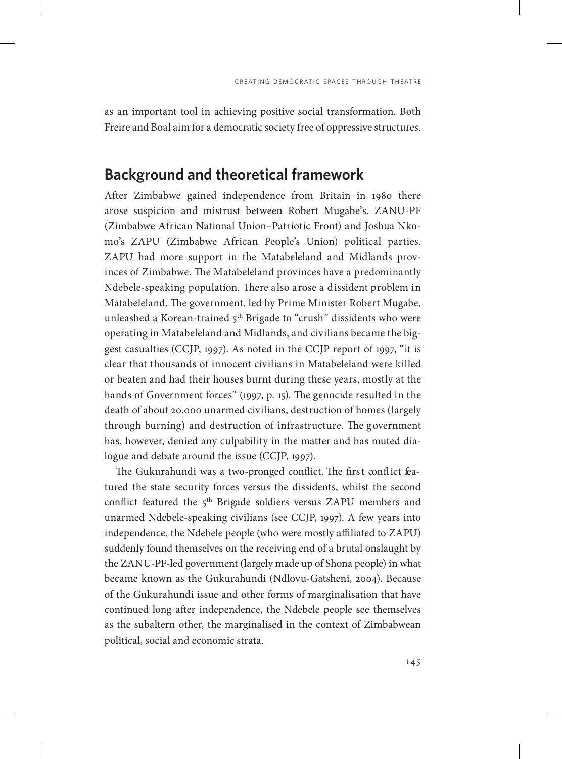as an important tool in achieving positive social transformation. Both Freire and Boal aim for a democratic society free of oppressive structures.

#### **Background and theoretical framework**

After Zimbabwe gained independence from Britain in 1980 there arose suspicion and mistrust between Robert Mugabe's. ZANU-PF (Zimbabwe African National Union–Patriotic Front) and Joshua Nkomo's ZAPU (Zimbabwe African People's Union) political parties. ZAPU had more support in the Matabeleland and Midlands provinces of Zimbabwe. The Matabeleland provinces have a predominantly Ndebele-speaking population. There also arose a dissident problem in Matabeleland. The government, led by Prime Minister Robert Mugabe, unleashed a Korean-trained 5<sup>th</sup> Brigade to "crush" dissidents who were operating in Matabeleland and Midlands, and civilians became the biggest casualties (CCJP, 1997). As noted in the CCJP report of 1997, "it is clear that thousands of innocent civilians in Matabeleland were killed or beaten and had their houses burnt during these years, mostly at the hands of Government forces" (1997, p. 15). The genocide resulted in the death of about 20,000 unarmed civilians, destruction of homes (largely through burning) and destruction of infrastructure. The government has, however, denied any culpability in the matter and has muted dialogue and debate around the issue (CCJP, 1997).

The Gukurahundi was a two-pronged conflict. The first conflict featured the state security forces versus the dissidents, whilst the second conflict featured the 5<sup>th</sup> Brigade soldiers versus ZAPU members and unarmed Ndebele-speaking civilians (see CCJP, 1997). A few years into independence, the Ndebele people (who were mostly affiliated to ZAPU) suddenly found themselves on the receiving end of a brutal onslaught by the ZANU-PF-led government (largely made up of Shona people) in what became known as the Gukurahundi (Ndlovu-Gatsheni, 2004). Because of the Gukurahundi issue and other forms of marginalisation that have continued long after independence, the Ndebele people see themselves as the subaltern other, the marginalised in the context of Zimbabwean political, social and economic strata.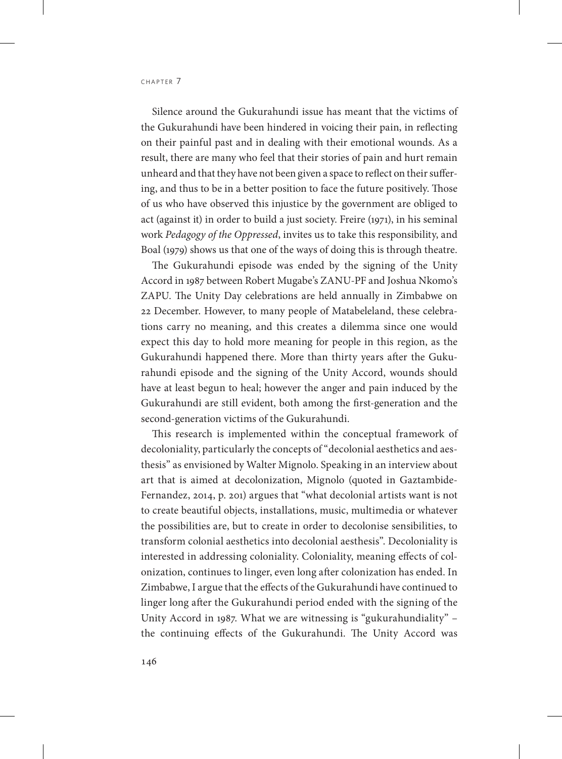Silence around the Gukurahundi issue has meant that the victims of the Gukurahundi have been hindered in voicing their pain, in reflecting on their painful past and in dealing with their emotional wounds. As a result, there are many who feel that their stories of pain and hurt remain unheard and that they have not been given a space to reflect on their suffering, and thus to be in a better position to face the future positively. Those of us who have observed this injustice by the government are obliged to act (against it) in order to build a just society. Freire (1971), in his seminal work *Pedagogy of the Oppressed*, invites us to take this responsibility, and Boal (1979) shows us that one of the ways of doing this is through theatre.

The Gukurahundi episode was ended by the signing of the Unity Accord in 1987 between Robert Mugabe's ZANU-PF and Joshua Nkomo's ZAPU. The Unity Day celebrations are held annually in Zimbabwe on 22 December. However, to many people of Matabeleland, these celebrations carry no meaning, and this creates a dilemma since one would expect this day to hold more meaning for people in this region, as the Gukurahundi happened there. More than thirty years after the Gukurahundi episode and the signing of the Unity Accord, wounds should have at least begun to heal; however the anger and pain induced by the Gukurahundi are still evident, both among the first-generation and the second-generation victims of the Gukurahundi.

This research is implemented within the conceptual framework of decoloniality, particularly the concepts of "decolonial aesthetics and aesthesis" as envisioned by Walter Mignolo. Speaking in an interview about art that is aimed at decolonization, Mignolo (quoted in Gaztambide-Fernandez, 2014, p. 201) argues that "what decolonial artists want is not to create beautiful objects, installations, music, multimedia or whatever the possibilities are, but to create in order to decolonise sensibilities, to transform colonial aesthetics into decolonial aesthesis". Decoloniality is interested in addressing coloniality. Coloniality, meaning effects of colonization, continues to linger, even long after colonization has ended. In Zimbabwe, I argue that the effects of the Gukurahundi have continued to linger long after the Gukurahundi period ended with the signing of the Unity Accord in 1987. What we are witnessing is "gukurahundiality" – the continuing effects of the Gukurahundi. The Unity Accord was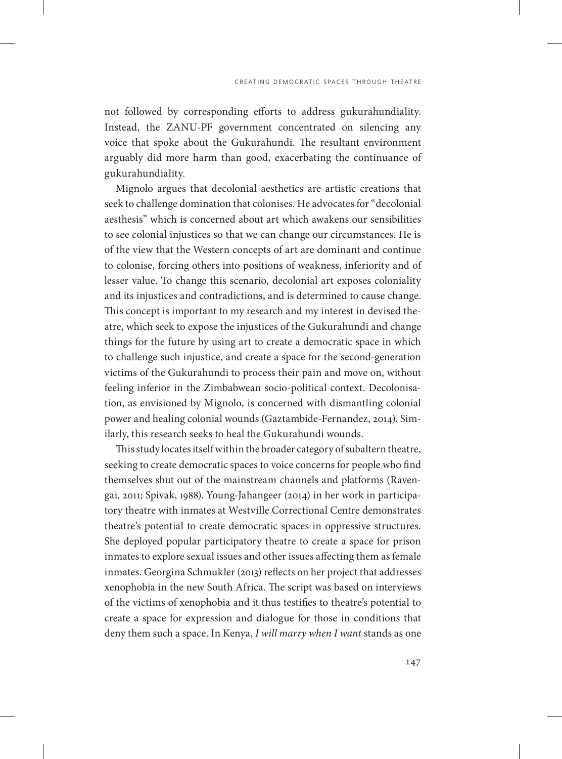not followed by corresponding efforts to address gukurahundiality. Instead, the ZANU-PF government concentrated on silencing any voice that spoke about the Gukurahundi. The resultant environment arguably did more harm than good, exacerbating the continuance of gukurahundiality.

Mignolo argues that decolonial aesthetics are artistic creations that seek to challenge domination that colonises. He advocates for "decolonial aesthesis" which is concerned about art which awakens our sensibilities to see colonial injustices so that we can change our circumstances. He is of the view that the Western concepts of art are dominant and continue to colonise, forcing others into positions of weakness, inferiority and of lesser value. To change this scenario, decolonial art exposes coloniality and its injustices and contradictions, and is determined to cause change. This concept is important to my research and my interest in devised theatre, which seek to expose the injustices of the Gukurahundi and change things for the future by using art to create a democratic space in which to challenge such injustice, and create a space for the second-generation victims of the Gukurahundi to process their pain and move on, without feeling inferior in the Zimbabwean socio-political context. Decolonisation, as envisioned by Mignolo, is concerned with dismantling colonial power and healing colonial wounds (Gaztambide-Fernandez, 2014). Similarly, this research seeks to heal the Gukurahundi wounds.

This study locates itself within the broader category of subaltern theatre, seeking to create democratic spaces to voice concerns for people who find themselves shut out of the mainstream channels and platforms (Ravengai, 2011; Spivak, 1988). Young-Jahangeer (2014) in her work in participatory theatre with inmates at Westville Correctional Centre demonstrates theatre's potential to create democratic spaces in oppressive structures. She deployed popular participatory theatre to create a space for prison inmates to explore sexual issues and other issues affecting them as female inmates. Georgina Schmukler (2013) reflects on her project that addresses xenophobia in the new South Africa. The script was based on interviews of the victims of xenophobia and it thus testifies to theatre's potential to create a space for expression and dialogue for those in conditions that deny them such a space. In Kenya, *I will marry when I want* stands as one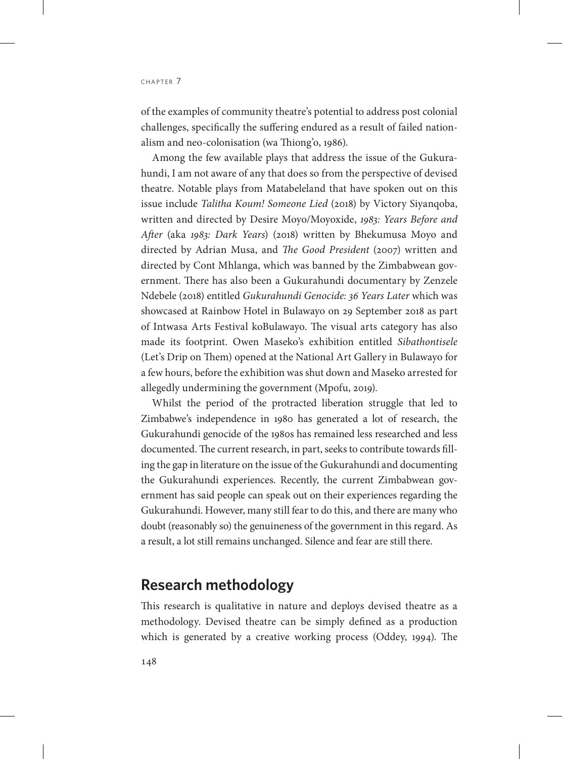of the examples of community theatre's potential to address post colonial challenges, specifically the suffering endured as a result of failed nationalism and neo-colonisation (wa Thiong'o, 1986).

Among the few available plays that address the issue of the Gukurahundi, I am not aware of any that does so from the perspective of devised theatre. Notable plays from Matabeleland that have spoken out on this issue include *Talitha Koum! Someone Lied* (2018) by Victory Siyanqoba, written and directed by Desire Moyo/Moyoxide, *1983: Years Before and After* (aka *1983: Dark Years*) (2018) written by Bhekumusa Moyo and directed by Adrian Musa, and *The Good President* (2007) written and directed by Cont Mhlanga, which was banned by the Zimbabwean government. There has also been a Gukurahundi documentary by Zenzele Ndebele (2018) entitled *Gukurahundi Genocide: 36 Years Later* which was showcased at Rainbow Hotel in Bulawayo on 29 September 2018 as part of Intwasa Arts Festival koBulawayo. The visual arts category has also made its footprint. Owen Maseko's exhibition entitled *Sibathontisele* (Let's Drip on Them) opened at the National Art Gallery in Bulawayo for a few hours, before the exhibition was shut down and Maseko arrested for allegedly undermining the government (Mpofu, 2019).

Whilst the period of the protracted liberation struggle that led to Zimbabwe's independence in 1980 has generated a lot of research, the Gukurahundi genocide of the 1980s has remained less researched and less documented. The current research, in part, seeks to contribute towards filling the gap in literature on the issue of the Gukurahundi and documenting the Gukurahundi experiences. Recently, the current Zimbabwean government has said people can speak out on their experiences regarding the Gukurahundi. However, many still fear to do this, and there are many who doubt (reasonably so) the genuineness of the government in this regard. As a result, a lot still remains unchanged. Silence and fear are still there.

#### **Research methodology**

This research is qualitative in nature and deploys devised theatre as a methodology. Devised theatre can be simply defined as a production which is generated by a creative working process (Oddey, 1994). The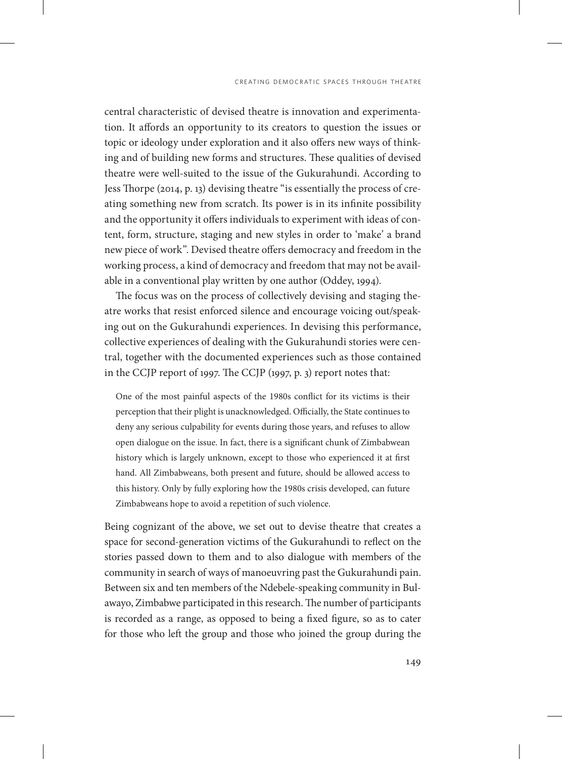central characteristic of devised theatre is innovation and experimentation. It affords an opportunity to its creators to question the issues or topic or ideology under exploration and it also offers new ways of thinking and of building new forms and structures. These qualities of devised theatre were well-suited to the issue of the Gukurahundi. According to Jess Thorpe (2014, p. 13) devising theatre "is essentially the process of creating something new from scratch. Its power is in its infinite possibility and the opportunity it offers individuals to experiment with ideas of content, form, structure, staging and new styles in order to 'make' a brand new piece of work". Devised theatre offers democracy and freedom in the working process, a kind of democracy and freedom that may not be available in a conventional play written by one author (Oddey, 1994).

The focus was on the process of collectively devising and staging theatre works that resist enforced silence and encourage voicing out/speaking out on the Gukurahundi experiences. In devising this performance, collective experiences of dealing with the Gukurahundi stories were central, together with the documented experiences such as those contained in the CCJP report of 1997. The CCJP (1997, p. 3) report notes that:

One of the most painful aspects of the 1980s conflict for its victims is their perception that their plight is unacknowledged. Officially, the State continues to deny any serious culpability for events during those years, and refuses to allow open dialogue on the issue. In fact, there is a significant chunk of Zimbabwean history which is largely unknown, except to those who experienced it at first hand. All Zimbabweans, both present and future, should be allowed access to this history. Only by fully exploring how the 1980s crisis developed, can future Zimbabweans hope to avoid a repetition of such violence.

Being cognizant of the above, we set out to devise theatre that creates a space for second-generation victims of the Gukurahundi to reflect on the stories passed down to them and to also dialogue with members of the community in search of ways of manoeuvring past the Gukurahundi pain. Between six and ten members of the Ndebele-speaking community in Bulawayo, Zimbabwe participated in this research. The number of participants is recorded as a range, as opposed to being a fixed figure, so as to cater for those who left the group and those who joined the group during the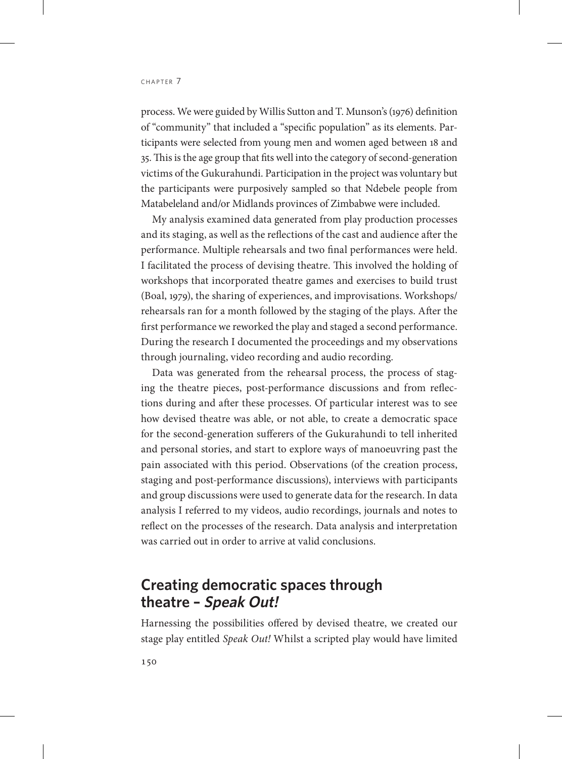process. We were guided by Willis Sutton and T. Munson's (1976) definition of "community" that included a "specific population" as its elements. Participants were selected from young men and women aged between 18 and 35. This is the age group that fits well into the category of second-generation victims of the Gukurahundi. Participation in the project was voluntary but the participants were purposively sampled so that Ndebele people from Matabeleland and/or Midlands provinces of Zimbabwe were included.

My analysis examined data generated from play production processes and its staging, as well as the reflections of the cast and audience after the performance. Multiple rehearsals and two final performances were held. I facilitated the process of devising theatre. This involved the holding of workshops that incorporated theatre games and exercises to build trust (Boal, 1979), the sharing of experiences, and improvisations. Workshops/ rehearsals ran for a month followed by the staging of the plays. After the first performance we reworked the play and staged a second performance. During the research I documented the proceedings and my observations through journaling, video recording and audio recording.

Data was generated from the rehearsal process, the process of staging the theatre pieces, post-performance discussions and from reflections during and after these processes. Of particular interest was to see how devised theatre was able, or not able, to create a democratic space for the second-generation sufferers of the Gukurahundi to tell inherited and personal stories, and start to explore ways of manoeuvring past the pain associated with this period. Observations (of the creation process, staging and post-performance discussions), interviews with participants and group discussions were used to generate data for the research. In data analysis I referred to my videos, audio recordings, journals and notes to reflect on the processes of the research. Data analysis and interpretation was carried out in order to arrive at valid conclusions.

# **Creating democratic spaces through theatre – Speak Out!**

Harnessing the possibilities offered by devised theatre, we created our stage play entitled *Speak Out!* Whilst a scripted play would have limited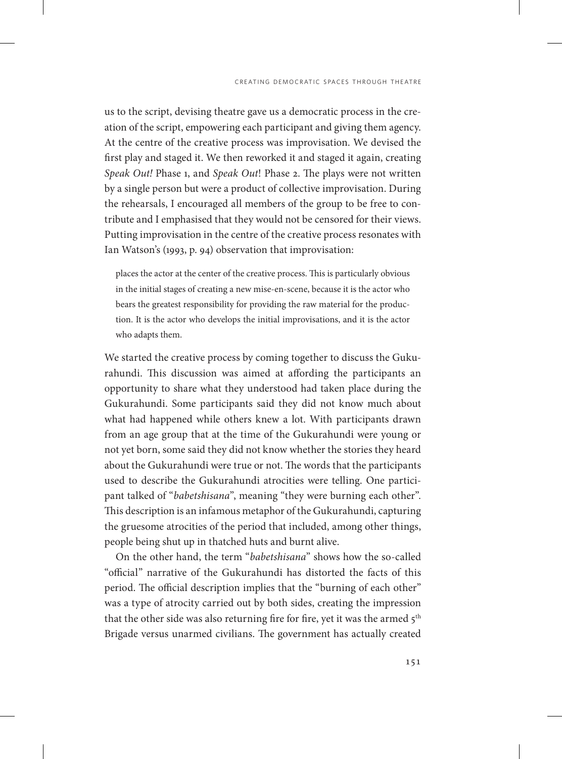us to the script, devising theatre gave us a democratic process in the creation of the script, empowering each participant and giving them agency. At the centre of the creative process was improvisation. We devised the first play and staged it. We then reworked it and staged it again, creating *Speak Out!* Phase 1, and *Speak Out*! Phase 2. The plays were not written by a single person but were a product of collective improvisation. During the rehearsals, I encouraged all members of the group to be free to contribute and I emphasised that they would not be censored for their views. Putting improvisation in the centre of the creative process resonates with Ian Watson's (1993, p. 94) observation that improvisation:

places the actor at the center of the creative process. This is particularly obvious in the initial stages of creating a new mise-en-scene, because it is the actor who bears the greatest responsibility for providing the raw material for the production. It is the actor who develops the initial improvisations, and it is the actor who adapts them.

We started the creative process by coming together to discuss the Gukurahundi. This discussion was aimed at affording the participants an opportunity to share what they understood had taken place during the Gukurahundi. Some participants said they did not know much about what had happened while others knew a lot. With participants drawn from an age group that at the time of the Gukurahundi were young or not yet born, some said they did not know whether the stories they heard about the Gukurahundi were true or not. The words that the participants used to describe the Gukurahundi atrocities were telling. One participant talked of "*babetshisana*", meaning "they were burning each other". This description is an infamous metaphor of the Gukurahundi, capturing the gruesome atrocities of the period that included, among other things, people being shut up in thatched huts and burnt alive.

On the other hand, the term "*babetshisana*" shows how the so-called "official" narrative of the Gukurahundi has distorted the facts of this period. The official description implies that the "burning of each other" was a type of atrocity carried out by both sides, creating the impression that the other side was also returning fire for fire, yet it was the armed 5<sup>th</sup> Brigade versus unarmed civilians. The government has actually created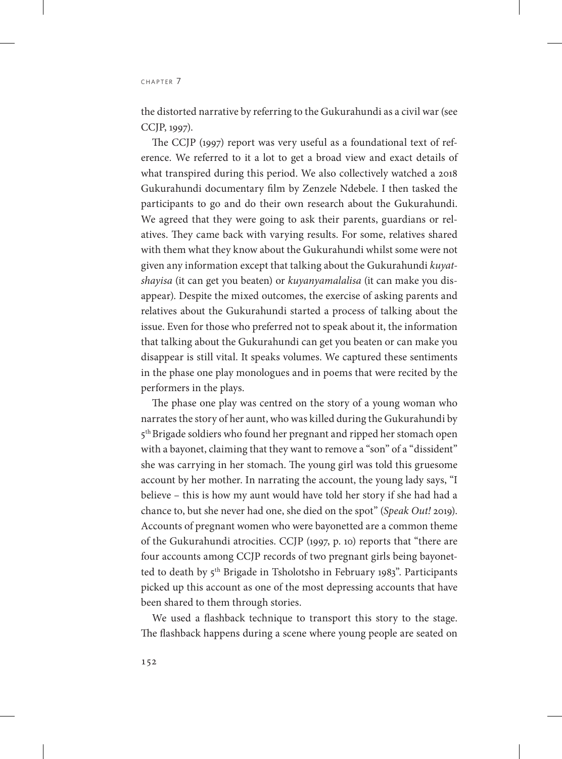the distorted narrative by referring to the Gukurahundi as a civil war (see CCJP, 1997).

The CCJP (1997) report was very useful as a foundational text of reference. We referred to it a lot to get a broad view and exact details of what transpired during this period. We also collectively watched a 2018 Gukurahundi documentary film by Zenzele Ndebele. I then tasked the participants to go and do their own research about the Gukurahundi. We agreed that they were going to ask their parents, guardians or relatives. They came back with varying results. For some, relatives shared with them what they know about the Gukurahundi whilst some were not given any information except that talking about the Gukurahundi *kuyatshayisa* (it can get you beaten) or *kuyanyamalalisa* (it can make you disappear). Despite the mixed outcomes, the exercise of asking parents and relatives about the Gukurahundi started a process of talking about the issue. Even for those who preferred not to speak about it, the information that talking about the Gukurahundi can get you beaten or can make you disappear is still vital. It speaks volumes. We captured these sentiments in the phase one play monologues and in poems that were recited by the performers in the plays.

The phase one play was centred on the story of a young woman who narrates the story of her aunt, who was killed during the Gukurahundi by 5<sup>th</sup> Brigade soldiers who found her pregnant and ripped her stomach open with a bayonet, claiming that they want to remove a "son" of a "dissident" she was carrying in her stomach. The young girl was told this gruesome account by her mother. In narrating the account, the young lady says, "I believe – this is how my aunt would have told her story if she had had a chance to, but she never had one, she died on the spot" (*Speak Out!* 2019). Accounts of pregnant women who were bayonetted are a common theme of the Gukurahundi atrocities. CCJP (1997, p. 10) reports that "there are four accounts among CCJP records of two pregnant girls being bayonetted to death by 5<sup>th</sup> Brigade in Tsholotsho in February 1983". Participants picked up this account as one of the most depressing accounts that have been shared to them through stories.

We used a flashback technique to transport this story to the stage. The flashback happens during a scene where young people are seated on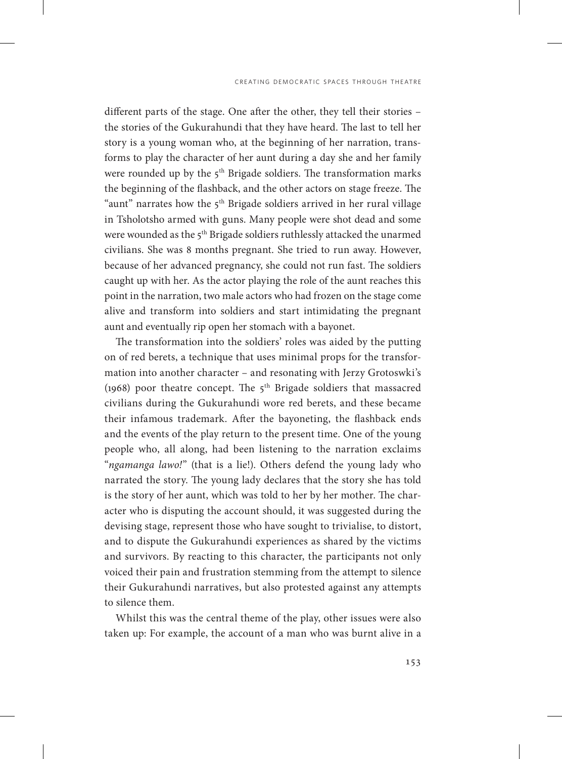different parts of the stage. One after the other, they tell their stories – the stories of the Gukurahundi that they have heard. The last to tell her story is a young woman who, at the beginning of her narration, transforms to play the character of her aunt during a day she and her family were rounded up by the 5<sup>th</sup> Brigade soldiers. The transformation marks the beginning of the flashback, and the other actors on stage freeze. The "aunt" narrates how the 5<sup>th</sup> Brigade soldiers arrived in her rural village in Tsholotsho armed with guns. Many people were shot dead and some were wounded as the 5<sup>th</sup> Brigade soldiers ruthlessly attacked the unarmed civilians. She was 8 months pregnant. She tried to run away. However, because of her advanced pregnancy, she could not run fast. The soldiers caught up with her. As the actor playing the role of the aunt reaches this point in the narration, two male actors who had frozen on the stage come alive and transform into soldiers and start intimidating the pregnant aunt and eventually rip open her stomach with a bayonet.

The transformation into the soldiers' roles was aided by the putting on of red berets, a technique that uses minimal props for the transformation into another character – and resonating with Jerzy Grotoswki's (1968) poor theatre concept. The  $5<sup>th</sup>$  Brigade soldiers that massacred civilians during the Gukurahundi wore red berets, and these became their infamous trademark. After the bayoneting, the flashback ends and the events of the play return to the present time. One of the young people who, all along, had been listening to the narration exclaims "*ngamanga lawo!*" (that is a lie!). Others defend the young lady who narrated the story. The young lady declares that the story she has told is the story of her aunt, which was told to her by her mother. The character who is disputing the account should, it was suggested during the devising stage, represent those who have sought to trivialise, to distort, and to dispute the Gukurahundi experiences as shared by the victims and survivors. By reacting to this character, the participants not only voiced their pain and frustration stemming from the attempt to silence their Gukurahundi narratives, but also protested against any attempts to silence them.

Whilst this was the central theme of the play, other issues were also taken up: For example, the account of a man who was burnt alive in a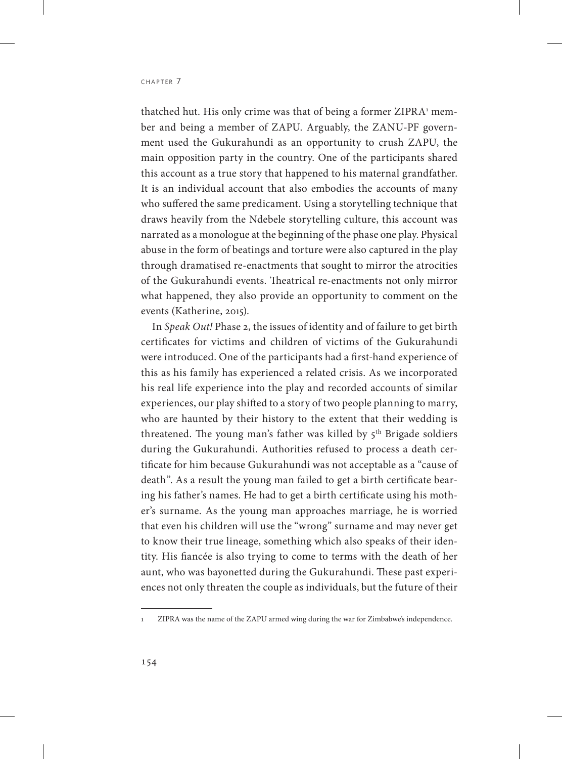thatched hut. His only crime was that of being a former ZIPRA<sup>1</sup> member and being a member of ZAPU. Arguably, the ZANU-PF government used the Gukurahundi as an opportunity to crush ZAPU, the main opposition party in the country. One of the participants shared this account as a true story that happened to his maternal grandfather. It is an individual account that also embodies the accounts of many who suffered the same predicament. Using a storytelling technique that draws heavily from the Ndebele storytelling culture, this account was narrated as a monologue at the beginning of the phase one play. Physical abuse in the form of beatings and torture were also captured in the play through dramatised re-enactments that sought to mirror the atrocities of the Gukurahundi events. Theatrical re-enactments not only mirror what happened, they also provide an opportunity to comment on the events (Katherine, 2015).

In *Speak Out!* Phase 2, the issues of identity and of failure to get birth certificates for victims and children of victims of the Gukurahundi were introduced. One of the participants had a first-hand experience of this as his family has experienced a related crisis. As we incorporated his real life experience into the play and recorded accounts of similar experiences, our play shifted to a story of two people planning to marry, who are haunted by their history to the extent that their wedding is threatened. The young man's father was killed by  $5<sup>th</sup>$  Brigade soldiers during the Gukurahundi. Authorities refused to process a death certificate for him because Gukurahundi was not acceptable as a "cause of death". As a result the young man failed to get a birth certificate bearing his father's names. He had to get a birth certificate using his mother's surname. As the young man approaches marriage, he is worried that even his children will use the "wrong" surname and may never get to know their true lineage, something which also speaks of their identity. His fiancée is also trying to come to terms with the death of her aunt, who was bayonetted during the Gukurahundi. These past experiences not only threaten the couple as individuals, but the future of their

<sup>1</sup> ZIPRA was the name of the ZAPU armed wing during the war for Zimbabwe's independence.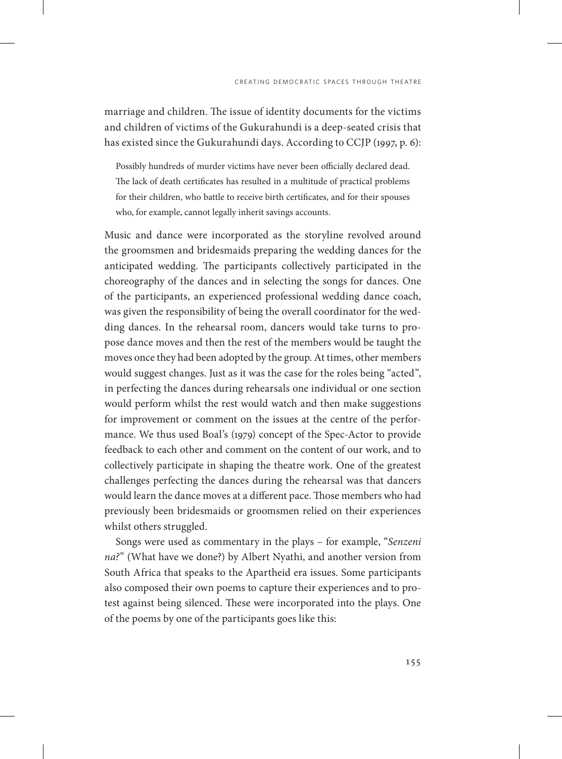marriage and children. The issue of identity documents for the victims and children of victims of the Gukurahundi is a deep-seated crisis that has existed since the Gukurahundi days. According to CCJP (1997, p. 6):

Possibly hundreds of murder victims have never been officially declared dead. The lack of death certificates has resulted in a multitude of practical problems for their children, who battle to receive birth certificates, and for their spouses who, for example, cannot legally inherit savings accounts.

Music and dance were incorporated as the storyline revolved around the groomsmen and bridesmaids preparing the wedding dances for the anticipated wedding. The participants collectively participated in the choreography of the dances and in selecting the songs for dances. One of the participants, an experienced professional wedding dance coach, was given the responsibility of being the overall coordinator for the wedding dances. In the rehearsal room, dancers would take turns to propose dance moves and then the rest of the members would be taught the moves once they had been adopted by the group. At times, other members would suggest changes. Just as it was the case for the roles being "acted", in perfecting the dances during rehearsals one individual or one section would perform whilst the rest would watch and then make suggestions for improvement or comment on the issues at the centre of the performance. We thus used Boal's (1979) concept of the Spec-Actor to provide feedback to each other and comment on the content of our work, and to collectively participate in shaping the theatre work. One of the greatest challenges perfecting the dances during the rehearsal was that dancers would learn the dance moves at a different pace. Those members who had previously been bridesmaids or groomsmen relied on their experiences whilst others struggled.

Songs were used as commentary in the plays – for example, "*Senzeni na?*" (What have we done?) by Albert Nyathi, and another version from South Africa that speaks to the Apartheid era issues. Some participants also composed their own poems to capture their experiences and to protest against being silenced. These were incorporated into the plays. One of the poems by one of the participants goes like this: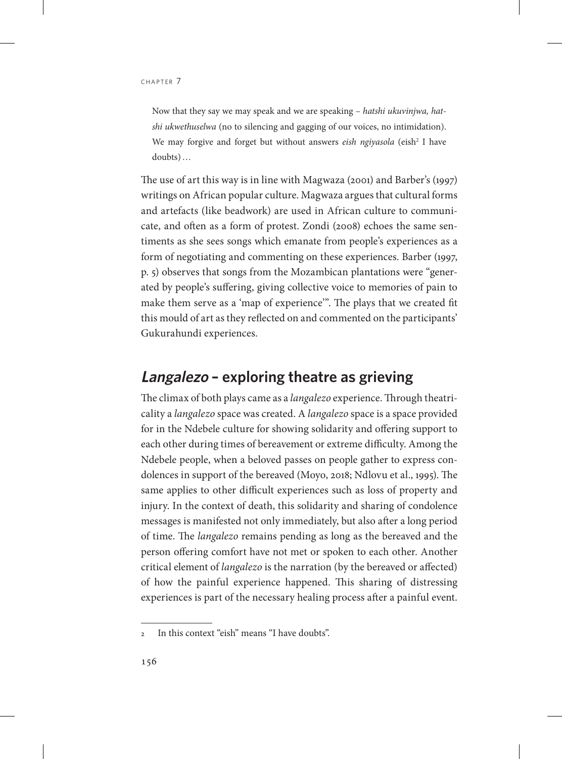Now that they say we may speak and we are speaking – *hatshi ukuvinjwa, hatshi ukwethuselwa* (no to silencing and gagging of our voices, no intimidation). We may forgive and forget but without answers *eish ngiyasola* (eish<sup>2</sup> I have doubts)…

The use of art this way is in line with Magwaza (2001) and Barber's (1997) writings on African popular culture. Magwaza argues that cultural forms and artefacts (like beadwork) are used in African culture to communicate, and often as a form of protest. Zondi (2008) echoes the same sentiments as she sees songs which emanate from people's experiences as a form of negotiating and commenting on these experiences. Barber (1997, p. 5) observes that songs from the Mozambican plantations were "generated by people's suffering, giving collective voice to memories of pain to make them serve as a 'map of experience'". The plays that we created fit this mould of art as they reflected on and commented on the participants' Gukurahundi experiences.

# **Langalezo – exploring theatre as grieving**

The climax of both plays came as a *langalezo* experience. Through theatricality a *langalezo* space was created. A *langalezo* space is a space provided for in the Ndebele culture for showing solidarity and offering support to each other during times of bereavement or extreme difficulty. Among the Ndebele people, when a beloved passes on people gather to express condolences in support of the bereaved (Moyo, 2018; Ndlovu et al., 1995). The same applies to other difficult experiences such as loss of property and injury. In the context of death, this solidarity and sharing of condolence messages is manifested not only immediately, but also after a long period of time. The *langalezo* remains pending as long as the bereaved and the person offering comfort have not met or spoken to each other. Another critical element of *langalezo* is the narration (by the bereaved or affected) of how the painful experience happened. This sharing of distressing experiences is part of the necessary healing process after a painful event.

<sup>2</sup> In this context "eish" means "I have doubts".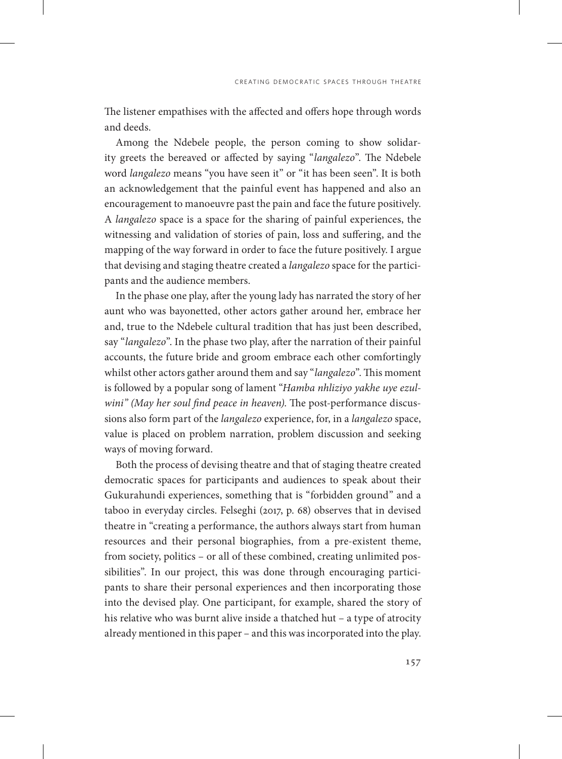The listener empathises with the affected and offers hope through words and deeds.

Among the Ndebele people, the person coming to show solidarity greets the bereaved or affected by saying "*langalezo*". The Ndebele word *langalezo* means "you have seen it" or "it has been seen". It is both an acknowledgement that the painful event has happened and also an encouragement to manoeuvre past the pain and face the future positively. A *langalezo* space is a space for the sharing of painful experiences, the witnessing and validation of stories of pain, loss and suffering, and the mapping of the way forward in order to face the future positively. I argue that devising and staging theatre created a *langalezo* space for the participants and the audience members.

In the phase one play, after the young lady has narrated the story of her aunt who was bayonetted, other actors gather around her, embrace her and, true to the Ndebele cultural tradition that has just been described, say "*langalezo*". In the phase two play, after the narration of their painful accounts, the future bride and groom embrace each other comfortingly whilst other actors gather around them and say "*langalezo*". This moment is followed by a popular song of lament "*Hamba nhliziyo yakhe uye ezulwini" (May her soul find peace in heaven)*. The post-performance discussions also form part of the *langalezo* experience, for, in a *langalezo* space, value is placed on problem narration, problem discussion and seeking ways of moving forward.

Both the process of devising theatre and that of staging theatre created democratic spaces for participants and audiences to speak about their Gukurahundi experiences, something that is "forbidden ground" and a taboo in everyday circles. Felseghi (2017, p. 68) observes that in devised theatre in "creating a performance, the authors always start from human resources and their personal biographies, from a pre-existent theme, from society, politics – or all of these combined, creating unlimited possibilities". In our project, this was done through encouraging participants to share their personal experiences and then incorporating those into the devised play. One participant, for example, shared the story of his relative who was burnt alive inside a thatched hut – a type of atrocity already mentioned in this paper – and this was incorporated into the play.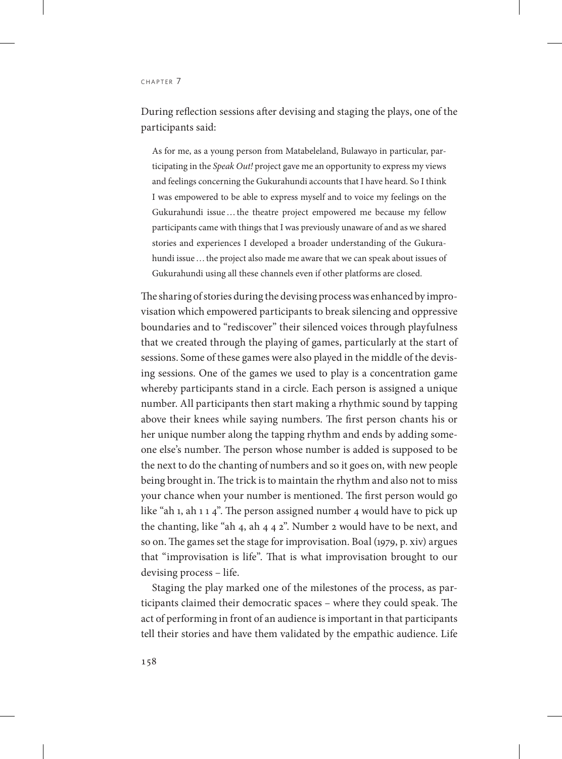#### CHAPTER 7

During reflection sessions after devising and staging the plays, one of the participants said:

As for me, as a young person from Matabeleland, Bulawayo in particular, participating in the *Speak Out!* project gave me an opportunity to express my views and feelings concerning the Gukurahundi accounts that I have heard. So I think I was empowered to be able to express myself and to voice my feelings on the Gukurahundi issue…the theatre project empowered me because my fellow participants came with things that I was previously unaware of and as we shared stories and experiences I developed a broader understanding of the Gukurahundi issue ... the project also made me aware that we can speak about issues of Gukurahundi using all these channels even if other platforms are closed.

The sharing of stories during the devising process was enhanced by improvisation which empowered participants to break silencing and oppressive boundaries and to "rediscover" their silenced voices through playfulness that we created through the playing of games, particularly at the start of sessions. Some of these games were also played in the middle of the devising sessions. One of the games we used to play is a concentration game whereby participants stand in a circle. Each person is assigned a unique number. All participants then start making a rhythmic sound by tapping above their knees while saying numbers. The first person chants his or her unique number along the tapping rhythm and ends by adding someone else's number. The person whose number is added is supposed to be the next to do the chanting of numbers and so it goes on, with new people being brought in. The trick is to maintain the rhythm and also not to miss your chance when your number is mentioned. The first person would go like "ah 1, ah 1 1 4". The person assigned number 4 would have to pick up the chanting, like "ah 4, ah 4 4 2". Number 2 would have to be next, and so on. The games set the stage for improvisation. Boal (1979, p. xiv) argues that "improvisation is life". That is what improvisation brought to our devising process – life.

Staging the play marked one of the milestones of the process, as participants claimed their democratic spaces – where they could speak. The act of performing in front of an audience is important in that participants tell their stories and have them validated by the empathic audience. Life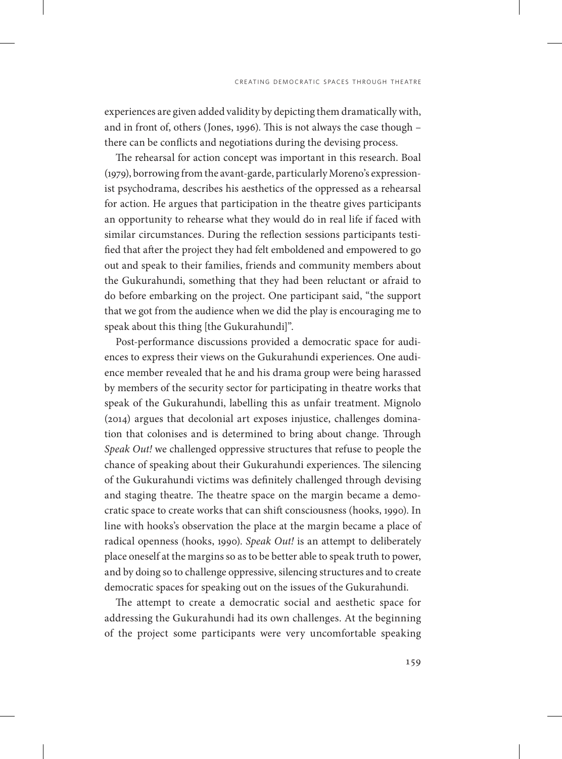experiences are given added validity by depicting them dramatically with, and in front of, others (Jones, 1996). This is not always the case though – there can be conflicts and negotiations during the devising process.

The rehearsal for action concept was important in this research. Boal (1979), borrowing from the avant-garde, particularly Moreno's expressionist psychodrama, describes his aesthetics of the oppressed as a rehearsal for action. He argues that participation in the theatre gives participants an opportunity to rehearse what they would do in real life if faced with similar circumstances. During the reflection sessions participants testified that after the project they had felt emboldened and empowered to go out and speak to their families, friends and community members about the Gukurahundi, something that they had been reluctant or afraid to do before embarking on the project. One participant said, "the support that we got from the audience when we did the play is encouraging me to speak about this thing [the Gukurahundi]".

Post-performance discussions provided a democratic space for audiences to express their views on the Gukurahundi experiences. One audience member revealed that he and his drama group were being harassed by members of the security sector for participating in theatre works that speak of the Gukurahundi, labelling this as unfair treatment. Mignolo (2014) argues that decolonial art exposes injustice, challenges domination that colonises and is determined to bring about change. Through *Speak Out!* we challenged oppressive structures that refuse to people the chance of speaking about their Gukurahundi experiences. The silencing of the Gukurahundi victims was definitely challenged through devising and staging theatre. The theatre space on the margin became a democratic space to create works that can shift consciousness (hooks, 1990). In line with hooks's observation the place at the margin became a place of radical openness (hooks, 1990). *Speak Out!* is an attempt to deliberately place oneself at the margins so as to be better able to speak truth to power, and by doing so to challenge oppressive, silencing structures and to create democratic spaces for speaking out on the issues of the Gukurahundi.

The attempt to create a democratic social and aesthetic space for addressing the Gukurahundi had its own challenges. At the beginning of the project some participants were very uncomfortable speaking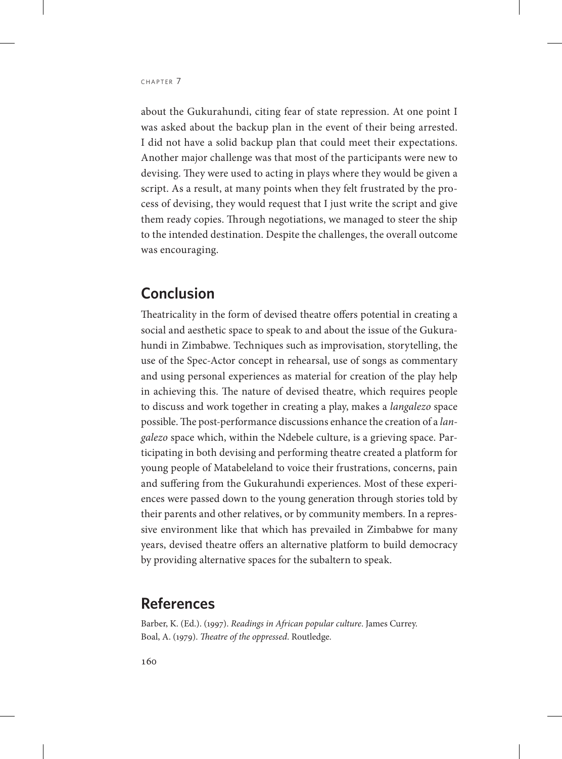about the Gukurahundi, citing fear of state repression. At one point I was asked about the backup plan in the event of their being arrested. I did not have a solid backup plan that could meet their expectations. Another major challenge was that most of the participants were new to devising. They were used to acting in plays where they would be given a script. As a result, at many points when they felt frustrated by the process of devising, they would request that I just write the script and give them ready copies. Through negotiations, we managed to steer the ship to the intended destination. Despite the challenges, the overall outcome was encouraging.

### **Conclusion**

Theatricality in the form of devised theatre offers potential in creating a social and aesthetic space to speak to and about the issue of the Gukurahundi in Zimbabwe. Techniques such as improvisation, storytelling, the use of the Spec-Actor concept in rehearsal, use of songs as commentary and using personal experiences as material for creation of the play help in achieving this. The nature of devised theatre, which requires people to discuss and work together in creating a play, makes a *langalezo* space possible. The post-performance discussions enhance the creation of a *langalezo* space which, within the Ndebele culture, is a grieving space. Participating in both devising and performing theatre created a platform for young people of Matabeleland to voice their frustrations, concerns, pain and suffering from the Gukurahundi experiences. Most of these experiences were passed down to the young generation through stories told by their parents and other relatives, or by community members. In a repressive environment like that which has prevailed in Zimbabwe for many years, devised theatre offers an alternative platform to build democracy by providing alternative spaces for the subaltern to speak.

#### **References**

Barber, K. (Ed.). (1997). *Readings in African popular culture*. James Currey. Boal, A. (1979). *Theatre of the oppressed*. Routledge.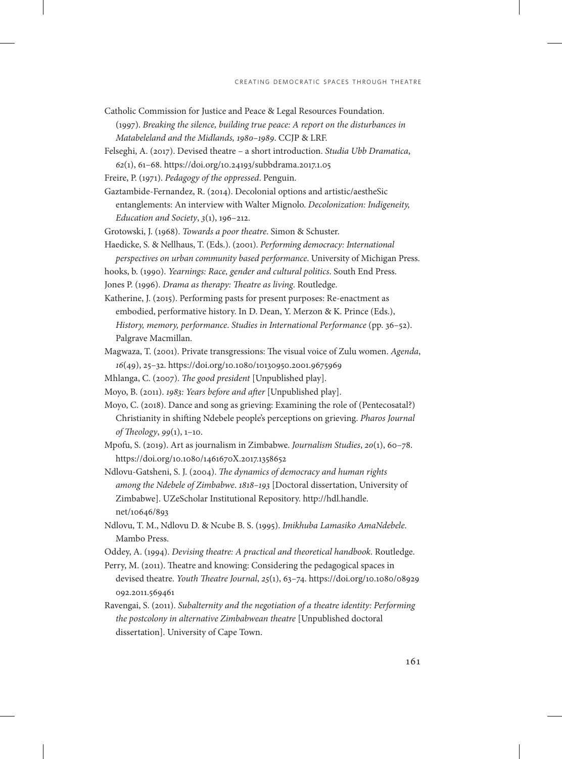- Catholic Commission for Justice and Peace & Legal Resources Foundation. (1997). *Breaking the silence, building true peace: A report on the disturbances in Matabeleland and the Midlands, 1980–1989*. CCJP & LRF.
- Felseghi, A. (2017). Devised theatre a short introduction. *Studia Ubb Dramatica*, *62*(1), 61–68. https://doi.org/10.24193/subbdrama.2017.1.05
- Freire, P. (1971). *Pedagogy of the oppressed*. Penguin.
- Gaztambide-Fernandez, R. (2014). Decolonial options and artistic/aestheSic entanglements: An interview with Walter Mignolo. *Decolonization: Indigeneity, Education and Society*, *3*(1), 196–212.
- Grotowski, J. (1968). *Towards a poor theatre*. Simon & Schuster.
- Haedicke, S. & Nellhaus, T. (Eds.). (2001). *Performing democracy: International perspectives on urban community based performance*. University of Michigan Press.
- hooks, b. (1990). *Yearnings: Race, gender and cultural politics*. South End Press.
- Jones P. (1996). *Drama as therapy: Theatre as living*. Routledge.
- Katherine, J. (2015). Performing pasts for present purposes: Re-enactment as embodied, performative history. In D. Dean, Y. Merzon & K. Prince (Eds.), *History, memory, performance*. *Studies in International Performance* (pp. 36–52). Palgrave Macmillan.
- Magwaza, T. (2001). Private transgressions: The visual voice of Zulu women. *Agenda*, *16*(49), 25–32. https://doi.org/10.1080/10130950.2001.9675969
- Mhlanga, C. (2007). *The good president* [Unpublished play].
- Moyo, B. (2011). *1983: Years before and after* [Unpublished play].
- Moyo, C. (2018). Dance and song as grieving: Examining the role of (Pentecosatal?) Christianity in shifting Ndebele people's perceptions on grieving. *Pharos Journal of Theology*, *99*(1), 1–10.
- Mpofu, S. (2019). Art as journalism in Zimbabwe. *Journalism Studies*, *20*(1), 60–78. https://doi.org/10.1080/1461670X.2017.1358652
- Ndlovu-Gatsheni, S. J. (2004). *The dynamics of democracy and human rights among the Ndebele of Zimbabwe*. *1818–193* [Doctoral dissertation, University of Zimbabwe]. UZeScholar Institutional Repository. [http://hdl.handle.](http://hdl.handle.net/10646/893) [net/10646/893](http://hdl.handle.net/10646/893)
- Ndlovu, T. M., Ndlovu D. & Ncube B. S. (1995). *Imikhuba Lamasiko AmaNdebele*. Mambo Press.
- Oddey, A. (1994). *Devising theatre: A practical and theoretical handbook*. Routledge.
- Perry, M. (2011). Theatre and knowing: Considering the pedagogical spaces in devised theatre. *Youth Theatre Journal*, *25*(1), 63–74. [https://doi.org/10.1080/08929](https://doi.org/10.1080/08929092.2011.569461) [092.2011.569461](https://doi.org/10.1080/08929092.2011.569461)
- Ravengai, S. (2011). *Subalternity and the negotiation of a theatre identity: Performing the postcolony in alternative Zimbabwean theatre* [Unpublished doctoral dissertation]. University of Cape Town.